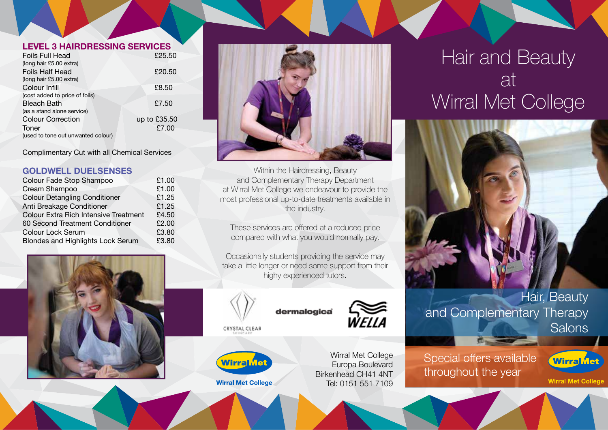#### **LEVEL 3 HAIRDRESSING SERVICES**

| Foils Full Head                    | £25.50       |
|------------------------------------|--------------|
| (long hair £5.00 extra)            |              |
| Foils Half Head                    | £20.50       |
| (long hair £5.00 extra)            |              |
| Colour Infill                      | £8.50        |
| (cost added to price of foils)     |              |
| <b>Bleach Bath</b>                 | £7.50        |
| (as a stand alone service)         |              |
| <b>Colour Correction</b>           | up to £35.50 |
| Toner                              | £7.00        |
| (used to tone out unwanted colour) |              |
|                                    |              |

Complimentary Cut with all Chemical Services

# **GOLDWELL DUELSENSES**

| Colour Fade Stop Shampoo                     | £1.00 |
|----------------------------------------------|-------|
| Cream Shampoo                                | £1.00 |
| <b>Colour Detangling Conditioner</b>         | £1.25 |
| Anti Breakage Conditioner                    | £1.25 |
| <b>Colour Extra Rich Intensive Treatment</b> | £4.50 |
| 60 Second Treatment Conditioner              | £2.00 |
| <b>Colour Lock Serum</b>                     | £3.80 |
| Blondes and Highlights Lock Serum            | £3.80 |
|                                              |       |





Within the Hairdressing, Beauty and Complementary Therapy Department at Wirral Met College we endeavour to provide the most professional up-to-date treatments available in the industry.

These services are offered at a reduced price compared with what you would normally pay.

Occasionally students providing the service may take a little longer or need some support from their highy experienced tutors.



# dermalogica

CRYSTAL CLEAR



**Wirral Met College** 

WELLA

Wirral Met College Europa Boulevard Birkenhead CH41 4NT Tel: 0151 551 7109

# Hair and Beauty at Wirral Met College





Special offers available throughout the year



**Wirral Met College**